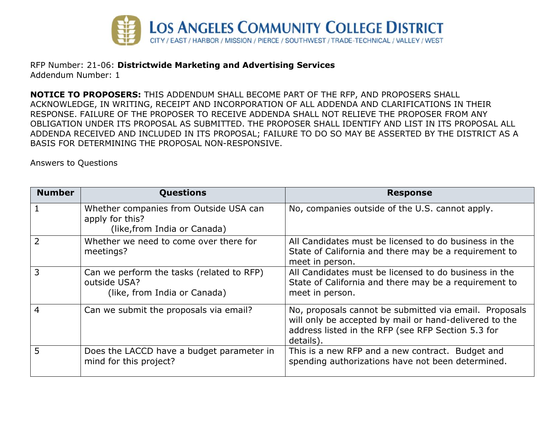

RFP Number: 21-06: **Districtwide Marketing and Advertising Services** Addendum Number: 1

**NOTICE TO PROPOSERS:** THIS ADDENDUM SHALL BECOME PART OF THE RFP, AND PROPOSERS SHALL ACKNOWLEDGE, IN WRITING, RECEIPT AND INCORPORATION OF ALL ADDENDA AND CLARIFICATIONS IN THEIR RESPONSE. FAILURE OF THE PROPOSER TO RECEIVE ADDENDA SHALL NOT RELIEVE THE PROPOSER FROM ANY OBLIGATION UNDER ITS PROPOSAL AS SUBMITTED. THE PROPOSER SHALL IDENTIFY AND LIST IN ITS PROPOSAL ALL ADDENDA RECEIVED AND INCLUDED IN ITS PROPOSAL; FAILURE TO DO SO MAY BE ASSERTED BY THE DISTRICT AS A BASIS FOR DETERMINING THE PROPOSAL NON-RESPONSIVE.

Answers to Questions

| <b>Number</b>  | <b>Questions</b>                                                                          | <b>Response</b>                                                                                                                                                                     |
|----------------|-------------------------------------------------------------------------------------------|-------------------------------------------------------------------------------------------------------------------------------------------------------------------------------------|
|                | Whether companies from Outside USA can<br>apply for this?<br>(like, from India or Canada) | No, companies outside of the U.S. cannot apply.                                                                                                                                     |
|                | Whether we need to come over there for<br>meetings?                                       | All Candidates must be licensed to do business in the<br>State of California and there may be a requirement to<br>meet in person.                                                   |
| 3              | Can we perform the tasks (related to RFP)<br>outside USA?<br>(like, from India or Canada) | All Candidates must be licensed to do business in the<br>State of California and there may be a requirement to<br>meet in person.                                                   |
| $\overline{4}$ | Can we submit the proposals via email?                                                    | No, proposals cannot be submitted via email. Proposals<br>will only be accepted by mail or hand-delivered to the<br>address listed in the RFP (see RFP Section 5.3 for<br>details). |
| 5              | Does the LACCD have a budget parameter in<br>mind for this project?                       | This is a new RFP and a new contract. Budget and<br>spending authorizations have not been determined.                                                                               |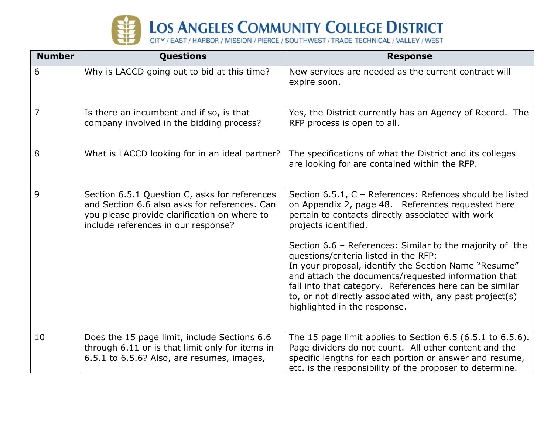

| <b>Number</b> | Questions                                                                                                                                                                             | <b>Response</b>                                                                                                                                                                                                                                                                                                                                                         |
|---------------|---------------------------------------------------------------------------------------------------------------------------------------------------------------------------------------|-------------------------------------------------------------------------------------------------------------------------------------------------------------------------------------------------------------------------------------------------------------------------------------------------------------------------------------------------------------------------|
| 6             | Why is LACCD going out to bid at this time?                                                                                                                                           | New services are needed as the current contract will<br>expire soon.                                                                                                                                                                                                                                                                                                    |
| 7             | Is there an incumbent and if so, is that<br>company involved in the bidding process?                                                                                                  | Yes, the District currently has an Agency of Record. The<br>RFP process is open to all.                                                                                                                                                                                                                                                                                 |
| 8             | What is LACCD looking for in an ideal partner?                                                                                                                                        | The specifications of what the District and its colleges<br>are looking for are contained within the RFP.                                                                                                                                                                                                                                                               |
| 9             | Section 6.5.1 Question C, asks for references<br>and Section 6.6 also asks for references. Can<br>you please provide clarification on where to<br>include references in our response? | Section 6.5.1, C - References: Refences should be listed<br>on Appendix 2, page 48. References requested here<br>pertain to contacts directly associated with work<br>projects identified.                                                                                                                                                                              |
|               |                                                                                                                                                                                       | Section 6.6 - References: Similar to the majority of the<br>questions/criteria listed in the RFP:<br>In your proposal, identify the Section Name "Resume"<br>and attach the documents/requested information that<br>fall into that category. References here can be similar<br>to, or not directly associated with, any past project(s)<br>highlighted in the response. |
| 10            | Does the 15 page limit, include Sections 6.6<br>through 6.11 or is that limit only for items in<br>6.5.1 to 6.5.6? Also, are resumes, images,                                         | The 15 page limit applies to Section $6.5$ (6.5.1 to $6.5.6$ ).<br>Page dividers do not count. All other content and the<br>specific lengths for each portion or answer and resume,<br>etc. is the responsibility of the proposer to determine.                                                                                                                         |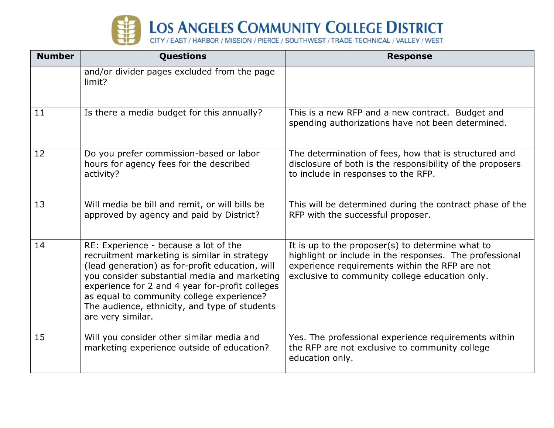

| <b>Number</b> | <b>Questions</b>                                                                                                                                                                                                                                                                                                                                               | <b>Response</b>                                                                                                                                                                                                 |
|---------------|----------------------------------------------------------------------------------------------------------------------------------------------------------------------------------------------------------------------------------------------------------------------------------------------------------------------------------------------------------------|-----------------------------------------------------------------------------------------------------------------------------------------------------------------------------------------------------------------|
|               | and/or divider pages excluded from the page<br>limit?                                                                                                                                                                                                                                                                                                          |                                                                                                                                                                                                                 |
| 11            | Is there a media budget for this annually?                                                                                                                                                                                                                                                                                                                     | This is a new RFP and a new contract. Budget and<br>spending authorizations have not been determined.                                                                                                           |
| 12            | Do you prefer commission-based or labor<br>hours for agency fees for the described<br>activity?                                                                                                                                                                                                                                                                | The determination of fees, how that is structured and<br>disclosure of both is the responsibility of the proposers<br>to include in responses to the RFP.                                                       |
| 13            | Will media be bill and remit, or will bills be<br>approved by agency and paid by District?                                                                                                                                                                                                                                                                     | This will be determined during the contract phase of the<br>RFP with the successful proposer.                                                                                                                   |
| 14            | RE: Experience - because a lot of the<br>recruitment marketing is similar in strategy<br>(lead generation) as for-profit education, will<br>you consider substantial media and marketing<br>experience for 2 and 4 year for-profit colleges<br>as equal to community college experience?<br>The audience, ethnicity, and type of students<br>are very similar. | It is up to the proposer(s) to determine what to<br>highlight or include in the responses. The professional<br>experience requirements within the RFP are not<br>exclusive to community college education only. |
| 15            | Will you consider other similar media and<br>marketing experience outside of education?                                                                                                                                                                                                                                                                        | Yes. The professional experience requirements within<br>the RFP are not exclusive to community college<br>education only.                                                                                       |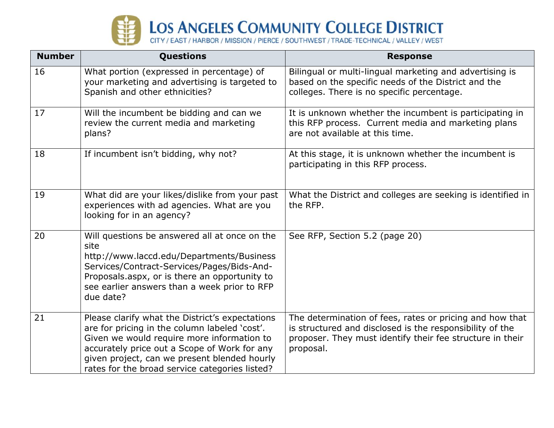

| <b>Number</b> | Questions                                                                                                                                                                                                                                                                                        | <b>Response</b>                                                                                                                                                                                |
|---------------|--------------------------------------------------------------------------------------------------------------------------------------------------------------------------------------------------------------------------------------------------------------------------------------------------|------------------------------------------------------------------------------------------------------------------------------------------------------------------------------------------------|
| 16            | What portion (expressed in percentage) of<br>your marketing and advertising is targeted to<br>Spanish and other ethnicities?                                                                                                                                                                     | Bilingual or multi-lingual marketing and advertising is<br>based on the specific needs of the District and the<br>colleges. There is no specific percentage.                                   |
| 17            | Will the incumbent be bidding and can we<br>review the current media and marketing<br>plans?                                                                                                                                                                                                     | It is unknown whether the incumbent is participating in<br>this RFP process. Current media and marketing plans<br>are not available at this time.                                              |
| 18            | If incumbent isn't bidding, why not?                                                                                                                                                                                                                                                             | At this stage, it is unknown whether the incumbent is<br>participating in this RFP process.                                                                                                    |
| 19            | What did are your likes/dislike from your past<br>experiences with ad agencies. What are you<br>looking for in an agency?                                                                                                                                                                        | What the District and colleges are seeking is identified in<br>the RFP.                                                                                                                        |
| 20            | Will questions be answered all at once on the<br>site<br>http://www.laccd.edu/Departments/Business<br>Services/Contract-Services/Pages/Bids-And-<br>Proposals.aspx, or is there an opportunity to<br>see earlier answers than a week prior to RFP<br>due date?                                   | See RFP, Section 5.2 (page 20)                                                                                                                                                                 |
| 21            | Please clarify what the District's expectations<br>are for pricing in the column labeled 'cost'.<br>Given we would require more information to<br>accurately price out a Scope of Work for any<br>given project, can we present blended hourly<br>rates for the broad service categories listed? | The determination of fees, rates or pricing and how that<br>is structured and disclosed is the responsibility of the<br>proposer. They must identify their fee structure in their<br>proposal. |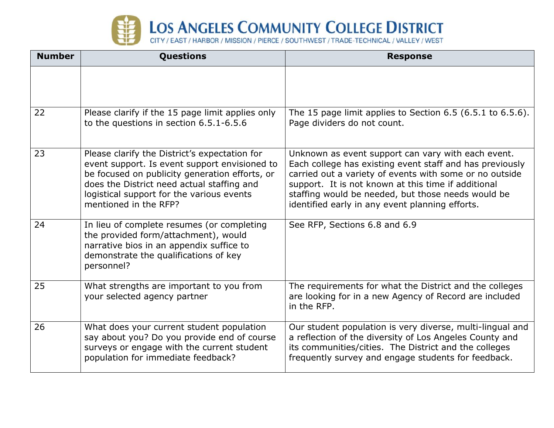

| <b>Number</b> | <b>Questions</b>                                                                                                                                                                                                                                                     | <b>Response</b>                                                                                                                                                                                                                                                                                                                           |
|---------------|----------------------------------------------------------------------------------------------------------------------------------------------------------------------------------------------------------------------------------------------------------------------|-------------------------------------------------------------------------------------------------------------------------------------------------------------------------------------------------------------------------------------------------------------------------------------------------------------------------------------------|
|               |                                                                                                                                                                                                                                                                      |                                                                                                                                                                                                                                                                                                                                           |
| 22            | Please clarify if the 15 page limit applies only<br>to the questions in section 6.5.1-6.5.6                                                                                                                                                                          | The 15 page limit applies to Section $6.5$ (6.5.1 to $6.5.6$ ).<br>Page dividers do not count.                                                                                                                                                                                                                                            |
| 23            | Please clarify the District's expectation for<br>event support. Is event support envisioned to<br>be focused on publicity generation efforts, or<br>does the District need actual staffing and<br>logistical support for the various events<br>mentioned in the RFP? | Unknown as event support can vary with each event.<br>Each college has existing event staff and has previously<br>carried out a variety of events with some or no outside<br>support. It is not known at this time if additional<br>staffing would be needed, but those needs would be<br>identified early in any event planning efforts. |
| 24            | In lieu of complete resumes (or completing<br>the provided form/attachment), would<br>narrative bios in an appendix suffice to<br>demonstrate the qualifications of key<br>personnel?                                                                                | See RFP, Sections 6.8 and 6.9                                                                                                                                                                                                                                                                                                             |
| 25            | What strengths are important to you from<br>your selected agency partner                                                                                                                                                                                             | The requirements for what the District and the colleges<br>are looking for in a new Agency of Record are included<br>in the RFP.                                                                                                                                                                                                          |
| 26            | What does your current student population<br>say about you? Do you provide end of course<br>surveys or engage with the current student<br>population for immediate feedback?                                                                                         | Our student population is very diverse, multi-lingual and<br>a reflection of the diversity of Los Angeles County and<br>its communities/cities. The District and the colleges<br>frequently survey and engage students for feedback.                                                                                                      |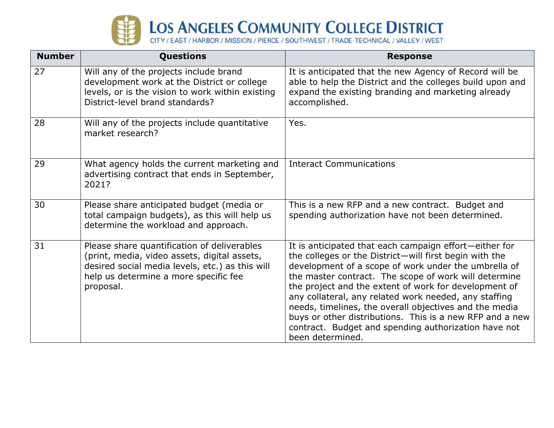

| <b>Number</b> | <b>Questions</b>                                                                                                                                                                                     | <b>Response</b>                                                                                                                                                                                                                                                                                                                                                                                                                                                                                                                                       |
|---------------|------------------------------------------------------------------------------------------------------------------------------------------------------------------------------------------------------|-------------------------------------------------------------------------------------------------------------------------------------------------------------------------------------------------------------------------------------------------------------------------------------------------------------------------------------------------------------------------------------------------------------------------------------------------------------------------------------------------------------------------------------------------------|
| 27            | Will any of the projects include brand<br>development work at the District or college<br>levels, or is the vision to work within existing<br>District-level brand standards?                         | It is anticipated that the new Agency of Record will be<br>able to help the District and the colleges build upon and<br>expand the existing branding and marketing already<br>accomplished.                                                                                                                                                                                                                                                                                                                                                           |
| 28            | Will any of the projects include quantitative<br>market research?                                                                                                                                    | Yes.                                                                                                                                                                                                                                                                                                                                                                                                                                                                                                                                                  |
| 29            | What agency holds the current marketing and<br>advertising contract that ends in September,<br>2021?                                                                                                 | <b>Interact Communications</b>                                                                                                                                                                                                                                                                                                                                                                                                                                                                                                                        |
| 30            | Please share anticipated budget (media or<br>total campaign budgets), as this will help us<br>determine the workload and approach.                                                                   | This is a new RFP and a new contract. Budget and<br>spending authorization have not been determined.                                                                                                                                                                                                                                                                                                                                                                                                                                                  |
| 31            | Please share quantification of deliverables<br>(print, media, video assets, digital assets,<br>desired social media levels, etc.) as this will<br>help us determine a more specific fee<br>proposal. | It is anticipated that each campaign effort-either for<br>the colleges or the District-will first begin with the<br>development of a scope of work under the umbrella of<br>the master contract. The scope of work will determine<br>the project and the extent of work for development of<br>any collateral, any related work needed, any staffing<br>needs, timelines, the overall objectives and the media<br>buys or other distributions. This is a new RFP and a new<br>contract. Budget and spending authorization have not<br>been determined. |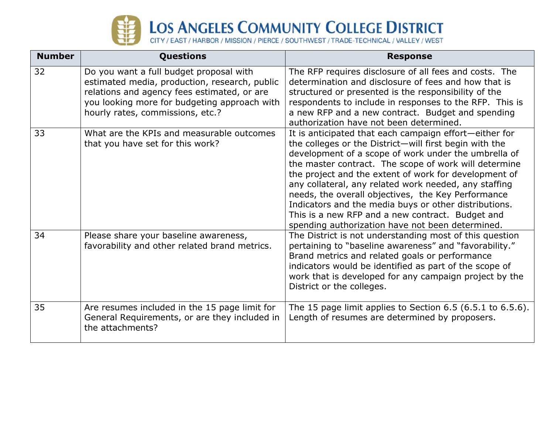

| <b>Number</b> | <b>Questions</b>                                                                                                                                                                                                            | <b>Response</b>                                                                                                                                                                                                                                                                                                                                                                                                                                                                                                                                                            |
|---------------|-----------------------------------------------------------------------------------------------------------------------------------------------------------------------------------------------------------------------------|----------------------------------------------------------------------------------------------------------------------------------------------------------------------------------------------------------------------------------------------------------------------------------------------------------------------------------------------------------------------------------------------------------------------------------------------------------------------------------------------------------------------------------------------------------------------------|
| 32            | Do you want a full budget proposal with<br>estimated media, production, research, public<br>relations and agency fees estimated, or are<br>you looking more for budgeting approach with<br>hourly rates, commissions, etc.? | The RFP requires disclosure of all fees and costs. The<br>determination and disclosure of fees and how that is<br>structured or presented is the responsibility of the<br>respondents to include in responses to the RFP. This is<br>a new RFP and a new contract. Budget and spending<br>authorization have not been determined.                                                                                                                                                                                                                                          |
| 33            | What are the KPIs and measurable outcomes<br>that you have set for this work?                                                                                                                                               | It is anticipated that each campaign effort-either for<br>the colleges or the District-will first begin with the<br>development of a scope of work under the umbrella of<br>the master contract. The scope of work will determine<br>the project and the extent of work for development of<br>any collateral, any related work needed, any staffing<br>needs, the overall objectives, the Key Performance<br>Indicators and the media buys or other distributions.<br>This is a new RFP and a new contract. Budget and<br>spending authorization have not been determined. |
| 34            | Please share your baseline awareness,<br>favorability and other related brand metrics.                                                                                                                                      | The District is not understanding most of this question<br>pertaining to "baseline awareness" and "favorability."<br>Brand metrics and related goals or performance<br>indicators would be identified as part of the scope of<br>work that is developed for any campaign project by the<br>District or the colleges.                                                                                                                                                                                                                                                       |
| 35            | Are resumes included in the 15 page limit for<br>General Requirements, or are they included in<br>the attachments?                                                                                                          | The 15 page limit applies to Section 6.5 (6.5.1 to 6.5.6).<br>Length of resumes are determined by proposers.                                                                                                                                                                                                                                                                                                                                                                                                                                                               |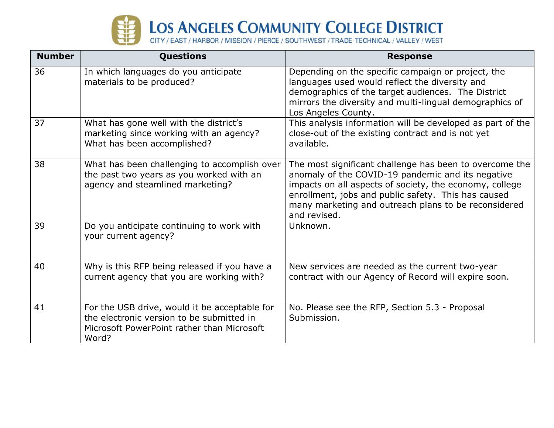

| <b>Number</b> | <b>Questions</b>                                                                                                                                  | <b>Response</b>                                                                                                                                                                                                                                                                                        |
|---------------|---------------------------------------------------------------------------------------------------------------------------------------------------|--------------------------------------------------------------------------------------------------------------------------------------------------------------------------------------------------------------------------------------------------------------------------------------------------------|
| 36            | In which languages do you anticipate<br>materials to be produced?                                                                                 | Depending on the specific campaign or project, the<br>languages used would reflect the diversity and<br>demographics of the target audiences. The District<br>mirrors the diversity and multi-lingual demographics of<br>Los Angeles County.                                                           |
| 37            | What has gone well with the district's<br>marketing since working with an agency?<br>What has been accomplished?                                  | This analysis information will be developed as part of the<br>close-out of the existing contract and is not yet<br>available.                                                                                                                                                                          |
| 38            | What has been challenging to accomplish over<br>the past two years as you worked with an<br>agency and steamlined marketing?                      | The most significant challenge has been to overcome the<br>anomaly of the COVID-19 pandemic and its negative<br>impacts on all aspects of society, the economy, college<br>enrollment, jobs and public safety. This has caused<br>many marketing and outreach plans to be reconsidered<br>and revised. |
| 39            | Do you anticipate continuing to work with<br>your current agency?                                                                                 | Unknown.                                                                                                                                                                                                                                                                                               |
| 40            | Why is this RFP being released if you have a<br>current agency that you are working with?                                                         | New services are needed as the current two-year<br>contract with our Agency of Record will expire soon.                                                                                                                                                                                                |
| 41            | For the USB drive, would it be acceptable for<br>the electronic version to be submitted in<br>Microsoft PowerPoint rather than Microsoft<br>Word? | No. Please see the RFP, Section 5.3 - Proposal<br>Submission.                                                                                                                                                                                                                                          |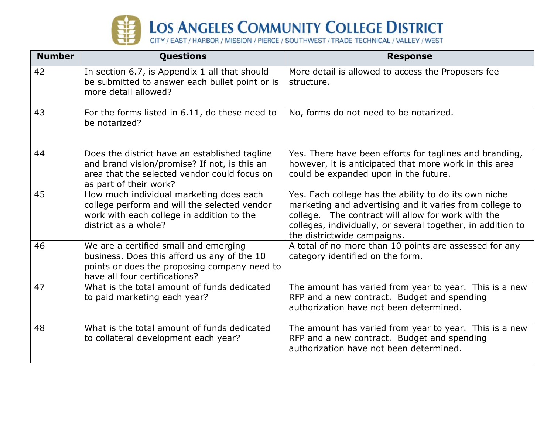

## **Number Questions Response**  42 | In section 6.7, is Appendix 1 all that should be submitted to answer each bullet point or is more detail allowed? More detail is allowed to access the Proposers fee structure. 43 For the forms listed in 6.11, do these need to be notarized? No, forms do not need to be notarized. 44 Does the district have an established tagline and brand vision/promise? If not, is this an area that the selected vendor could focus on as part of their work? Yes. There have been efforts for taglines and branding, however, it is anticipated that more work in this area could be expanded upon in the future. 45 How much individual marketing does each college perform and will the selected vendor work with each college in addition to the district as a whole? Yes. Each college has the ability to do its own niche marketing and advertising and it varies from college to college. The contract will allow for work with the colleges, individually, or several together, in addition to the districtwide campaigns. 46 We are a certified small and emerging business. Does this afford us any of the 10 points or does the proposing company need to have all four certifications? A total of no more than 10 points are assessed for any category identified on the form. 47 What is the total amount of funds dedicated to paid marketing each year? The amount has varied from year to year. This is a new RFP and a new contract. Budget and spending authorization have not been determined. 48 What is the total amount of funds dedicated to collateral development each year? The amount has varied from year to year. This is a new RFP and a new contract. Budget and spending authorization have not been determined.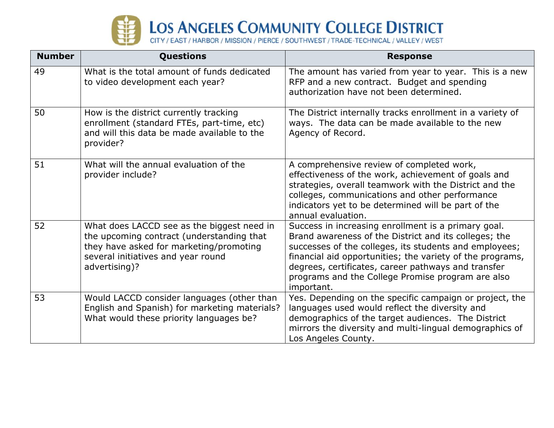

| <b>Number</b> | Questions                                                                                                                                                                                 | <b>Response</b>                                                                                                                                                                                                                                                                                                                                               |
|---------------|-------------------------------------------------------------------------------------------------------------------------------------------------------------------------------------------|---------------------------------------------------------------------------------------------------------------------------------------------------------------------------------------------------------------------------------------------------------------------------------------------------------------------------------------------------------------|
| 49            | What is the total amount of funds dedicated<br>to video development each year?                                                                                                            | The amount has varied from year to year. This is a new<br>RFP and a new contract. Budget and spending<br>authorization have not been determined.                                                                                                                                                                                                              |
| 50            | How is the district currently tracking<br>enrollment (standard FTEs, part-time, etc)<br>and will this data be made available to the<br>provider?                                          | The District internally tracks enrollment in a variety of<br>ways. The data can be made available to the new<br>Agency of Record.                                                                                                                                                                                                                             |
| 51            | What will the annual evaluation of the<br>provider include?                                                                                                                               | A comprehensive review of completed work,<br>effectiveness of the work, achievement of goals and<br>strategies, overall teamwork with the District and the<br>colleges, communications and other performance<br>indicators yet to be determined will be part of the<br>annual evaluation.                                                                     |
| 52            | What does LACCD see as the biggest need in<br>the upcoming contract (understanding that<br>they have asked for marketing/promoting<br>several initiatives and year round<br>advertising)? | Success in increasing enrollment is a primary goal.<br>Brand awareness of the District and its colleges; the<br>successes of the colleges, its students and employees;<br>financial aid opportunities; the variety of the programs,<br>degrees, certificates, career pathways and transfer<br>programs and the College Promise program are also<br>important. |
| 53            | Would LACCD consider languages (other than<br>English and Spanish) for marketing materials?<br>What would these priority languages be?                                                    | Yes. Depending on the specific campaign or project, the<br>languages used would reflect the diversity and<br>demographics of the target audiences. The District<br>mirrors the diversity and multi-lingual demographics of<br>Los Angeles County.                                                                                                             |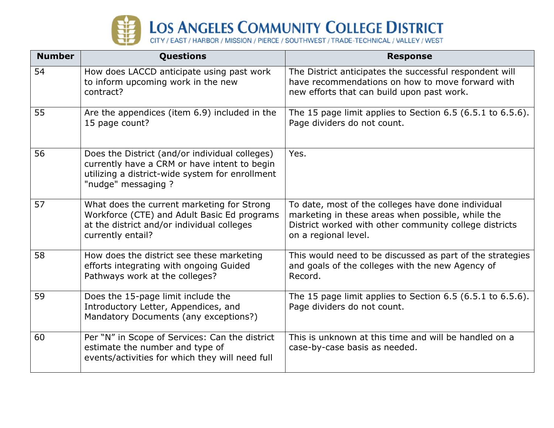

| <b>Number</b> | Questions                                                                                                                                                                | <b>Response</b>                                                                                                                                                                           |
|---------------|--------------------------------------------------------------------------------------------------------------------------------------------------------------------------|-------------------------------------------------------------------------------------------------------------------------------------------------------------------------------------------|
| 54            | How does LACCD anticipate using past work<br>to inform upcoming work in the new<br>contract?                                                                             | The District anticipates the successful respondent will<br>have recommendations on how to move forward with<br>new efforts that can build upon past work.                                 |
| 55            | Are the appendices (item 6.9) included in the<br>15 page count?                                                                                                          | The 15 page limit applies to Section 6.5 (6.5.1 to 6.5.6).<br>Page dividers do not count.                                                                                                 |
| 56            | Does the District (and/or individual colleges)<br>currently have a CRM or have intent to begin<br>utilizing a district-wide system for enrollment<br>"nudge" messaging ? | Yes.                                                                                                                                                                                      |
| 57            | What does the current marketing for Strong<br>Workforce (CTE) and Adult Basic Ed programs<br>at the district and/or individual colleges<br>currently entail?             | To date, most of the colleges have done individual<br>marketing in these areas when possible, while the<br>District worked with other community college districts<br>on a regional level. |
| 58            | How does the district see these marketing<br>efforts integrating with ongoing Guided<br>Pathways work at the colleges?                                                   | This would need to be discussed as part of the strategies<br>and goals of the colleges with the new Agency of<br>Record.                                                                  |
| 59            | Does the 15-page limit include the<br>Introductory Letter, Appendices, and<br>Mandatory Documents (any exceptions?)                                                      | The 15 page limit applies to Section $6.5(6.5.1)$ to $6.5.6$ ).<br>Page dividers do not count.                                                                                            |
| 60            | Per "N" in Scope of Services: Can the district<br>estimate the number and type of<br>events/activities for which they will need full                                     | This is unknown at this time and will be handled on a<br>case-by-case basis as needed.                                                                                                    |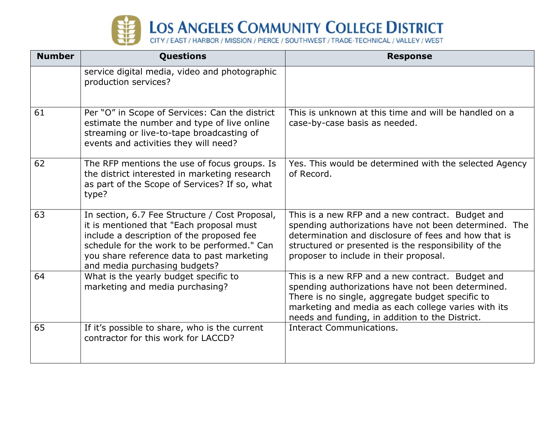

| <b>Number</b> | <b>Questions</b>                                                                                                                                                                                                                                                      | <b>Response</b>                                                                                                                                                                                                                                                     |
|---------------|-----------------------------------------------------------------------------------------------------------------------------------------------------------------------------------------------------------------------------------------------------------------------|---------------------------------------------------------------------------------------------------------------------------------------------------------------------------------------------------------------------------------------------------------------------|
|               | service digital media, video and photographic<br>production services?                                                                                                                                                                                                 |                                                                                                                                                                                                                                                                     |
| 61            | Per "O" in Scope of Services: Can the district<br>estimate the number and type of live online<br>streaming or live-to-tape broadcasting of<br>events and activities they will need?                                                                                   | This is unknown at this time and will be handled on a<br>case-by-case basis as needed.                                                                                                                                                                              |
| 62            | The RFP mentions the use of focus groups. Is<br>the district interested in marketing research<br>as part of the Scope of Services? If so, what<br>type?                                                                                                               | Yes. This would be determined with the selected Agency<br>of Record.                                                                                                                                                                                                |
| 63            | In section, 6.7 Fee Structure / Cost Proposal,<br>it is mentioned that "Each proposal must<br>include a description of the proposed fee<br>schedule for the work to be performed." Can<br>you share reference data to past marketing<br>and media purchasing budgets? | This is a new RFP and a new contract. Budget and<br>spending authorizations have not been determined. The<br>determination and disclosure of fees and how that is<br>structured or presented is the responsibility of the<br>proposer to include in their proposal. |
| 64            | What is the yearly budget specific to<br>marketing and media purchasing?                                                                                                                                                                                              | This is a new RFP and a new contract. Budget and<br>spending authorizations have not been determined.<br>There is no single, aggregate budget specific to<br>marketing and media as each college varies with its<br>needs and funding, in addition to the District. |
| 65            | If it's possible to share, who is the current<br>contractor for this work for LACCD?                                                                                                                                                                                  | <b>Interact Communications.</b>                                                                                                                                                                                                                                     |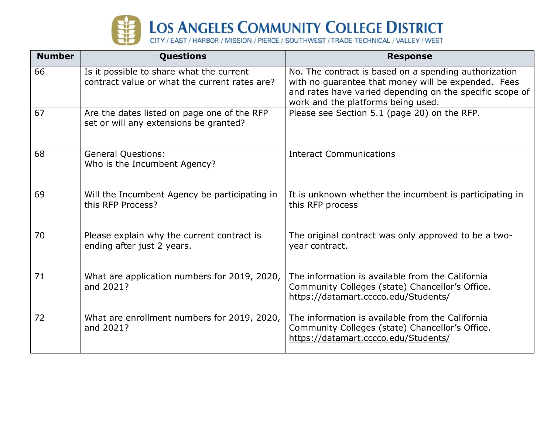

| <b>Number</b> | <b>Questions</b>                                                                          | <b>Response</b>                                                                                                                                                                                                |
|---------------|-------------------------------------------------------------------------------------------|----------------------------------------------------------------------------------------------------------------------------------------------------------------------------------------------------------------|
| 66            | Is it possible to share what the current<br>contract value or what the current rates are? | No. The contract is based on a spending authorization<br>with no guarantee that money will be expended. Fees<br>and rates have varied depending on the specific scope of<br>work and the platforms being used. |
| 67            | Are the dates listed on page one of the RFP<br>set or will any extensions be granted?     | Please see Section 5.1 (page 20) on the RFP.                                                                                                                                                                   |
| 68            | <b>General Questions:</b><br>Who is the Incumbent Agency?                                 | <b>Interact Communications</b>                                                                                                                                                                                 |
| 69            | Will the Incumbent Agency be participating in<br>this RFP Process?                        | It is unknown whether the incumbent is participating in<br>this RFP process                                                                                                                                    |
| 70            | Please explain why the current contract is<br>ending after just 2 years.                  | The original contract was only approved to be a two-<br>year contract.                                                                                                                                         |
| 71            | What are application numbers for 2019, 2020,<br>and 2021?                                 | The information is available from the California<br>Community Colleges (state) Chancellor's Office.<br>https://datamart.cccco.edu/Students/                                                                    |
| 72            | What are enrollment numbers for 2019, 2020,<br>and 2021?                                  | The information is available from the California<br>Community Colleges (state) Chancellor's Office.<br>https://datamart.cccco.edu/Students/                                                                    |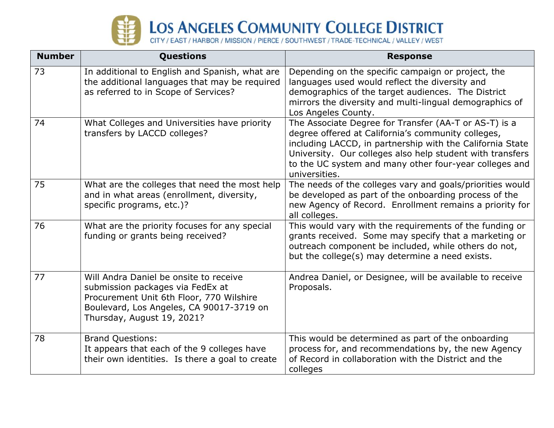

| <b>Number</b> | Questions                                                                                                                                                                                        | <b>Response</b>                                                                                                                                                                                                                                                                                                  |
|---------------|--------------------------------------------------------------------------------------------------------------------------------------------------------------------------------------------------|------------------------------------------------------------------------------------------------------------------------------------------------------------------------------------------------------------------------------------------------------------------------------------------------------------------|
| 73            | In additional to English and Spanish, what are<br>the additional languages that may be required<br>as referred to in Scope of Services?                                                          | Depending on the specific campaign or project, the<br>languages used would reflect the diversity and<br>demographics of the target audiences. The District<br>mirrors the diversity and multi-lingual demographics of<br>Los Angeles County.                                                                     |
| 74            | What Colleges and Universities have priority<br>transfers by LACCD colleges?                                                                                                                     | The Associate Degree for Transfer (AA-T or AS-T) is a<br>degree offered at California's community colleges,<br>including LACCD, in partnership with the California State<br>University. Our colleges also help student with transfers<br>to the UC system and many other four-year colleges and<br>universities. |
| 75            | What are the colleges that need the most help<br>and in what areas (enrollment, diversity,<br>specific programs, etc.)?                                                                          | The needs of the colleges vary and goals/priorities would<br>be developed as part of the onboarding process of the<br>new Agency of Record. Enrollment remains a priority for<br>all colleges.                                                                                                                   |
| 76            | What are the priority focuses for any special<br>funding or grants being received?                                                                                                               | This would vary with the requirements of the funding or<br>grants received. Some may specify that a marketing or<br>outreach component be included, while others do not,<br>but the college(s) may determine a need exists.                                                                                      |
| 77            | Will Andra Daniel be onsite to receive<br>submission packages via FedEx at<br>Procurement Unit 6th Floor, 770 Wilshire<br>Boulevard, Los Angeles, CA 90017-3719 on<br>Thursday, August 19, 2021? | Andrea Daniel, or Designee, will be available to receive<br>Proposals.                                                                                                                                                                                                                                           |
| 78            | <b>Brand Questions:</b><br>It appears that each of the 9 colleges have<br>their own identities. Is there a goal to create                                                                        | This would be determined as part of the onboarding<br>process for, and recommendations by, the new Agency<br>of Record in collaboration with the District and the<br>colleges                                                                                                                                    |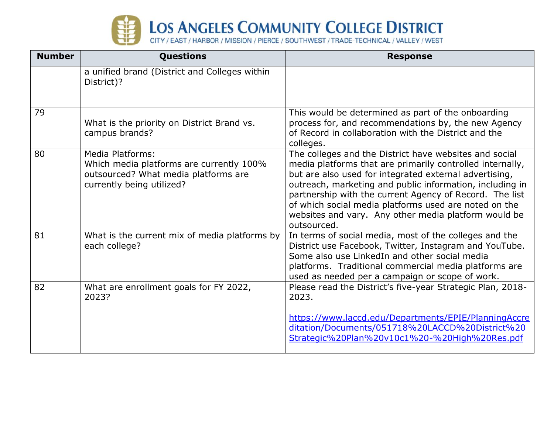

| <b>Number</b> | <b>Questions</b>                                                                                                                         | <b>Response</b>                                                                                                                                                                                                                                                                                                                                                                                                                      |
|---------------|------------------------------------------------------------------------------------------------------------------------------------------|--------------------------------------------------------------------------------------------------------------------------------------------------------------------------------------------------------------------------------------------------------------------------------------------------------------------------------------------------------------------------------------------------------------------------------------|
|               | a unified brand (District and Colleges within<br>District)?                                                                              |                                                                                                                                                                                                                                                                                                                                                                                                                                      |
| 79            | What is the priority on District Brand vs.<br>campus brands?                                                                             | This would be determined as part of the onboarding<br>process for, and recommendations by, the new Agency<br>of Record in collaboration with the District and the<br>colleges.                                                                                                                                                                                                                                                       |
| 80            | <b>Media Platforms:</b><br>Which media platforms are currently 100%<br>outsourced? What media platforms are<br>currently being utilized? | The colleges and the District have websites and social<br>media platforms that are primarily controlled internally,<br>but are also used for integrated external advertising,<br>outreach, marketing and public information, including in<br>partnership with the current Agency of Record. The list<br>of which social media platforms used are noted on the<br>websites and vary. Any other media platform would be<br>outsourced. |
| 81            | What is the current mix of media platforms by<br>each college?                                                                           | In terms of social media, most of the colleges and the<br>District use Facebook, Twitter, Instagram and YouTube.<br>Some also use LinkedIn and other social media<br>platforms. Traditional commercial media platforms are<br>used as needed per a campaign or scope of work.                                                                                                                                                        |
| 82            | What are enrollment goals for FY 2022,<br>2023?                                                                                          | Please read the District's five-year Strategic Plan, 2018-<br>2023.<br>https://www.laccd.edu/Departments/EPIE/PlanningAccre<br>ditation/Documents/051718%20LACCD%20District%20<br>Strategic%20Plan%20v10c1%20-%20High%20Res.pdf                                                                                                                                                                                                      |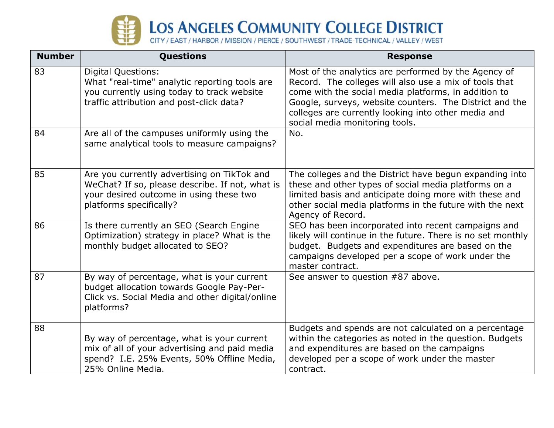

| <b>Number</b> | Questions                                                                                                                                                            | <b>Response</b>                                                                                                                                                                                                                                                                                                            |
|---------------|----------------------------------------------------------------------------------------------------------------------------------------------------------------------|----------------------------------------------------------------------------------------------------------------------------------------------------------------------------------------------------------------------------------------------------------------------------------------------------------------------------|
| 83            | <b>Digital Questions:</b><br>What "real-time" analytic reporting tools are<br>you currently using today to track website<br>traffic attribution and post-click data? | Most of the analytics are performed by the Agency of<br>Record. The colleges will also use a mix of tools that<br>come with the social media platforms, in addition to<br>Google, surveys, website counters. The District and the<br>colleges are currently looking into other media and<br>social media monitoring tools. |
| 84            | Are all of the campuses uniformly using the<br>same analytical tools to measure campaigns?                                                                           | No.                                                                                                                                                                                                                                                                                                                        |
| 85            | Are you currently advertising on TikTok and<br>WeChat? If so, please describe. If not, what is<br>your desired outcome in using these two<br>platforms specifically? | The colleges and the District have begun expanding into<br>these and other types of social media platforms on a<br>limited basis and anticipate doing more with these and<br>other social media platforms in the future with the next<br>Agency of Record.                                                                 |
| 86            | Is there currently an SEO (Search Engine<br>Optimization) strategy in place? What is the<br>monthly budget allocated to SEO?                                         | SEO has been incorporated into recent campaigns and<br>likely will continue in the future. There is no set monthly<br>budget. Budgets and expenditures are based on the<br>campaigns developed per a scope of work under the<br>master contract.                                                                           |
| 87            | By way of percentage, what is your current<br>budget allocation towards Google Pay-Per-<br>Click vs. Social Media and other digital/online<br>platforms?             | See answer to question #87 above.                                                                                                                                                                                                                                                                                          |
| 88            | By way of percentage, what is your current<br>mix of all of your advertising and paid media<br>spend? I.E. 25% Events, 50% Offline Media,<br>25% Online Media.       | Budgets and spends are not calculated on a percentage<br>within the categories as noted in the question. Budgets<br>and expenditures are based on the campaigns<br>developed per a scope of work under the master<br>contract.                                                                                             |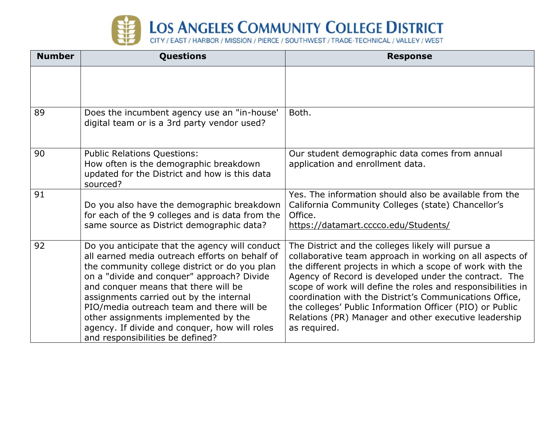

| <b>Number</b> | <b>Questions</b>                                                                                                                                                                                                                                                                                                                                                                                                                                             | <b>Response</b>                                                                                                                                                                                                                                                                                                                                                                                                                                                                                    |
|---------------|--------------------------------------------------------------------------------------------------------------------------------------------------------------------------------------------------------------------------------------------------------------------------------------------------------------------------------------------------------------------------------------------------------------------------------------------------------------|----------------------------------------------------------------------------------------------------------------------------------------------------------------------------------------------------------------------------------------------------------------------------------------------------------------------------------------------------------------------------------------------------------------------------------------------------------------------------------------------------|
|               |                                                                                                                                                                                                                                                                                                                                                                                                                                                              |                                                                                                                                                                                                                                                                                                                                                                                                                                                                                                    |
| 89            | Does the incumbent agency use an "in-house"<br>digital team or is a 3rd party vendor used?                                                                                                                                                                                                                                                                                                                                                                   | Both.                                                                                                                                                                                                                                                                                                                                                                                                                                                                                              |
| 90            | <b>Public Relations Questions:</b><br>How often is the demographic breakdown<br>updated for the District and how is this data<br>sourced?                                                                                                                                                                                                                                                                                                                    | Our student demographic data comes from annual<br>application and enrollment data.                                                                                                                                                                                                                                                                                                                                                                                                                 |
| 91            | Do you also have the demographic breakdown<br>for each of the 9 colleges and is data from the<br>same source as District demographic data?                                                                                                                                                                                                                                                                                                                   | Yes. The information should also be available from the<br>California Community Colleges (state) Chancellor's<br>Office.<br>https://datamart.cccco.edu/Students/                                                                                                                                                                                                                                                                                                                                    |
| 92            | Do you anticipate that the agency will conduct<br>all earned media outreach efforts on behalf of<br>the community college district or do you plan<br>on a "divide and conquer" approach? Divide<br>and conquer means that there will be<br>assignments carried out by the internal<br>PIO/media outreach team and there will be<br>other assignments implemented by the<br>agency. If divide and conquer, how will roles<br>and responsibilities be defined? | The District and the colleges likely will pursue a<br>collaborative team approach in working on all aspects of<br>the different projects in which a scope of work with the<br>Agency of Record is developed under the contract. The<br>scope of work will define the roles and responsibilities in<br>coordination with the District's Communications Office,<br>the colleges' Public Information Officer (PIO) or Public<br>Relations (PR) Manager and other executive leadership<br>as required. |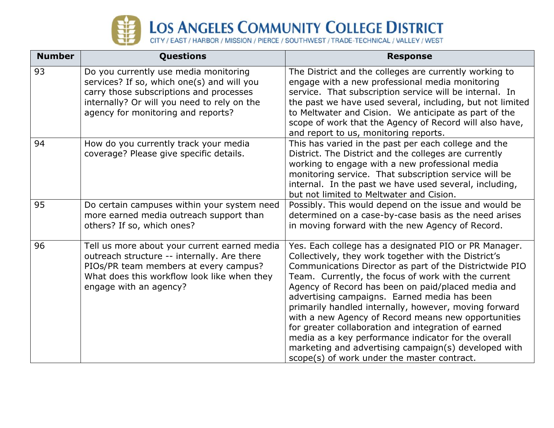

| <b>Number</b> | <b>Questions</b>                                                                                                                                                                                                    | <b>Response</b>                                                                                                                                                                                                                                                                                                                                                                                                                                                                                                                                                                                                              |
|---------------|---------------------------------------------------------------------------------------------------------------------------------------------------------------------------------------------------------------------|------------------------------------------------------------------------------------------------------------------------------------------------------------------------------------------------------------------------------------------------------------------------------------------------------------------------------------------------------------------------------------------------------------------------------------------------------------------------------------------------------------------------------------------------------------------------------------------------------------------------------|
| 93            | Do you currently use media monitoring<br>services? If so, which one(s) and will you<br>carry those subscriptions and processes<br>internally? Or will you need to rely on the<br>agency for monitoring and reports? | The District and the colleges are currently working to<br>engage with a new professional media monitoring<br>service. That subscription service will be internal. In<br>the past we have used several, including, but not limited<br>to Meltwater and Cision. We anticipate as part of the<br>scope of work that the Agency of Record will also have,<br>and report to us, monitoring reports.                                                                                                                                                                                                                               |
| 94            | How do you currently track your media<br>coverage? Please give specific details.                                                                                                                                    | This has varied in the past per each college and the<br>District. The District and the colleges are currently<br>working to engage with a new professional media<br>monitoring service. That subscription service will be<br>internal. In the past we have used several, including,<br>but not limited to Meltwater and Cision.                                                                                                                                                                                                                                                                                              |
| 95            | Do certain campuses within your system need<br>more earned media outreach support than<br>others? If so, which ones?                                                                                                | Possibly. This would depend on the issue and would be<br>determined on a case-by-case basis as the need arises<br>in moving forward with the new Agency of Record.                                                                                                                                                                                                                                                                                                                                                                                                                                                           |
| 96            | Tell us more about your current earned media<br>outreach structure -- internally. Are there<br>PIOs/PR team members at every campus?<br>What does this workflow look like when they<br>engage with an agency?       | Yes. Each college has a designated PIO or PR Manager.<br>Collectively, they work together with the District's<br>Communications Director as part of the Districtwide PIO<br>Team. Currently, the focus of work with the current<br>Agency of Record has been on paid/placed media and<br>advertising campaigns. Earned media has been<br>primarily handled internally, however, moving forward<br>with a new Agency of Record means new opportunities<br>for greater collaboration and integration of earned<br>media as a key performance indicator for the overall<br>marketing and advertising campaign(s) developed with |

scope(s) of work under the master contract.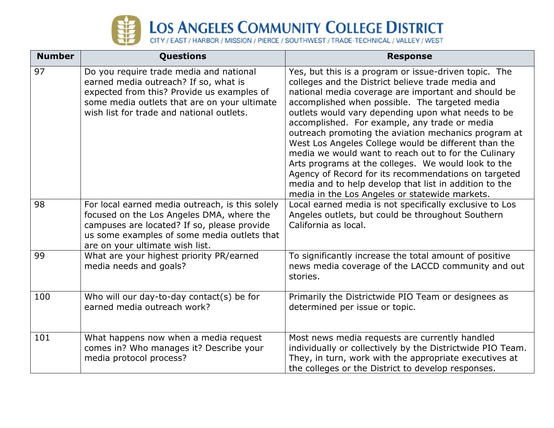

| <b>Number</b> | Questions                                                                                                                                                                                                                     | <b>Response</b>                                                                                                                                                                                                                                                                                                                                                                                                                                                                                                                                                                                                                                                                                                               |
|---------------|-------------------------------------------------------------------------------------------------------------------------------------------------------------------------------------------------------------------------------|-------------------------------------------------------------------------------------------------------------------------------------------------------------------------------------------------------------------------------------------------------------------------------------------------------------------------------------------------------------------------------------------------------------------------------------------------------------------------------------------------------------------------------------------------------------------------------------------------------------------------------------------------------------------------------------------------------------------------------|
| 97            | Do you require trade media and national<br>earned media outreach? If so, what is<br>expected from this? Provide us examples of<br>some media outlets that are on your ultimate<br>wish list for trade and national outlets.   | Yes, but this is a program or issue-driven topic. The<br>colleges and the District believe trade media and<br>national media coverage are important and should be<br>accomplished when possible. The targeted media<br>outlets would vary depending upon what needs to be<br>accomplished. For example, any trade or media<br>outreach promoting the aviation mechanics program at<br>West Los Angeles College would be different than the<br>media we would want to reach out to for the Culinary<br>Arts programs at the colleges. We would look to the<br>Agency of Record for its recommendations on targeted<br>media and to help develop that list in addition to the<br>media in the Los Angeles or statewide markets. |
| 98            | For local earned media outreach, is this solely<br>focused on the Los Angeles DMA, where the<br>campuses are located? If so, please provide<br>us some examples of some media outlets that<br>are on your ultimate wish list. | Local earned media is not specifically exclusive to Los<br>Angeles outlets, but could be throughout Southern<br>California as local.                                                                                                                                                                                                                                                                                                                                                                                                                                                                                                                                                                                          |
| 99            | What are your highest priority PR/earned<br>media needs and goals?                                                                                                                                                            | To significantly increase the total amount of positive<br>news media coverage of the LACCD community and out<br>stories.                                                                                                                                                                                                                                                                                                                                                                                                                                                                                                                                                                                                      |
| 100           | Who will our day-to-day contact(s) be for<br>earned media outreach work?                                                                                                                                                      | Primarily the Districtwide PIO Team or designees as<br>determined per issue or topic.                                                                                                                                                                                                                                                                                                                                                                                                                                                                                                                                                                                                                                         |
| 101           | What happens now when a media request<br>comes in? Who manages it? Describe your<br>media protocol process?                                                                                                                   | Most news media requests are currently handled<br>individually or collectively by the Districtwide PIO Team.<br>They, in turn, work with the appropriate executives at<br>the colleges or the District to develop responses.                                                                                                                                                                                                                                                                                                                                                                                                                                                                                                  |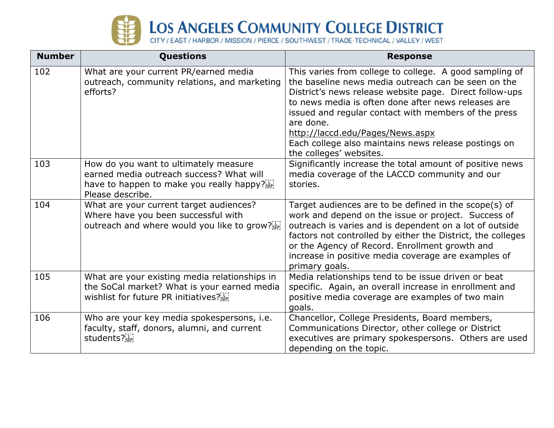

| <b>Number</b> | <b>Questions</b>                                                                                                                                                              | <b>Response</b>                                                                                                                                                                                                                                                                                                                                                                                                              |
|---------------|-------------------------------------------------------------------------------------------------------------------------------------------------------------------------------|------------------------------------------------------------------------------------------------------------------------------------------------------------------------------------------------------------------------------------------------------------------------------------------------------------------------------------------------------------------------------------------------------------------------------|
| 102           | What are your current PR/earned media<br>outreach, community relations, and marketing<br>efforts?                                                                             | This varies from college to college. A good sampling of<br>the baseline news media outreach can be seen on the<br>District's news release website page. Direct follow-ups<br>to news media is often done after news releases are<br>issued and regular contact with members of the press<br>are done.<br>http://laccd.edu/Pages/News.aspx<br>Each college also maintains news release postings on<br>the colleges' websites. |
| 103           | How do you want to ultimately measure<br>earned media outreach success? What will<br>have to happen to make you really happy? $\sum_{s \in \mathbb{R}^2}$<br>Please describe. | Significantly increase the total amount of positive news<br>media coverage of the LACCD community and our<br>stories.                                                                                                                                                                                                                                                                                                        |
| 104           | What are your current target audiences?<br>Where have you been successful with<br>outreach and where would you like to grow?[1]                                               | Target audiences are to be defined in the scope(s) of<br>work and depend on the issue or project. Success of<br>outreach is varies and is dependent on a lot of outside<br>factors not controlled by either the District, the colleges<br>or the Agency of Record. Enrollment growth and<br>increase in positive media coverage are examples of<br>primary goals.                                                            |
| 105           | What are your existing media relationships in<br>the SoCal market? What is your earned media<br>wishlist for future PR initiatives? $\frac{1}{25}$                            | Media relationships tend to be issue driven or beat<br>specific. Again, an overall increase in enrollment and<br>positive media coverage are examples of two main<br>goals.                                                                                                                                                                                                                                                  |
| 106           | Who are your key media spokespersons, i.e.<br>faculty, staff, donors, alumni, and current<br>students?[1]                                                                     | Chancellor, College Presidents, Board members,<br>Communications Director, other college or District<br>executives are primary spokespersons. Others are used<br>depending on the topic.                                                                                                                                                                                                                                     |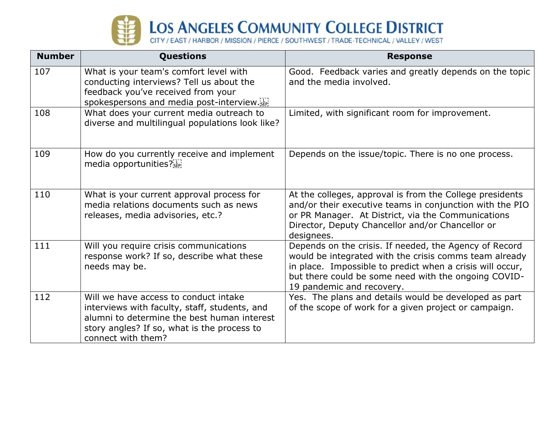

| <b>Number</b> | <b>Questions</b>                                                                                                                                                                                           | <b>Response</b>                                                                                                                                                                                                                                                    |
|---------------|------------------------------------------------------------------------------------------------------------------------------------------------------------------------------------------------------------|--------------------------------------------------------------------------------------------------------------------------------------------------------------------------------------------------------------------------------------------------------------------|
| 107           | What is your team's comfort level with<br>conducting interviews? Tell us about the<br>feedback you've received from your<br>spokespersons and media post-interview.                                        | Good. Feedback varies and greatly depends on the topic<br>and the media involved.                                                                                                                                                                                  |
| 108           | What does your current media outreach to<br>diverse and multilingual populations look like?                                                                                                                | Limited, with significant room for improvement.                                                                                                                                                                                                                    |
| 109           | How do you currently receive and implement<br>media opportunities? $\frac{1}{35}$                                                                                                                          | Depends on the issue/topic. There is no one process.                                                                                                                                                                                                               |
| 110           | What is your current approval process for<br>media relations documents such as news<br>releases, media advisories, etc.?                                                                                   | At the colleges, approval is from the College presidents<br>and/or their executive teams in conjunction with the PIO<br>or PR Manager. At District, via the Communications<br>Director, Deputy Chancellor and/or Chancellor or<br>designees.                       |
| 111           | Will you require crisis communications<br>response work? If so, describe what these<br>needs may be.                                                                                                       | Depends on the crisis. If needed, the Agency of Record<br>would be integrated with the crisis comms team already<br>in place. Impossible to predict when a crisis will occur,<br>but there could be some need with the ongoing COVID-<br>19 pandemic and recovery. |
| 112           | Will we have access to conduct intake<br>interviews with faculty, staff, students, and<br>alumni to determine the best human interest<br>story angles? If so, what is the process to<br>connect with them? | Yes. The plans and details would be developed as part<br>of the scope of work for a given project or campaign.                                                                                                                                                     |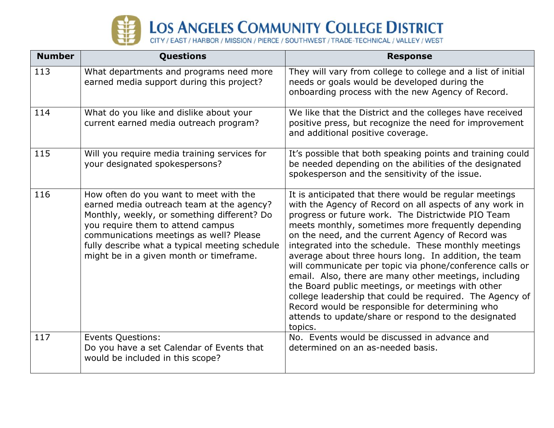

| <b>Number</b> | <b>Questions</b>                                                                                                                                                                                                                                                                                                | <b>Response</b>                                                                                                                                                                                                                                                                                                                                                                                                                                                                                                                                                                                                                                                                                                                                                 |
|---------------|-----------------------------------------------------------------------------------------------------------------------------------------------------------------------------------------------------------------------------------------------------------------------------------------------------------------|-----------------------------------------------------------------------------------------------------------------------------------------------------------------------------------------------------------------------------------------------------------------------------------------------------------------------------------------------------------------------------------------------------------------------------------------------------------------------------------------------------------------------------------------------------------------------------------------------------------------------------------------------------------------------------------------------------------------------------------------------------------------|
| 113           | What departments and programs need more<br>earned media support during this project?                                                                                                                                                                                                                            | They will vary from college to college and a list of initial<br>needs or goals would be developed during the<br>onboarding process with the new Agency of Record.                                                                                                                                                                                                                                                                                                                                                                                                                                                                                                                                                                                               |
| 114           | What do you like and dislike about your<br>current earned media outreach program?                                                                                                                                                                                                                               | We like that the District and the colleges have received<br>positive press, but recognize the need for improvement<br>and additional positive coverage.                                                                                                                                                                                                                                                                                                                                                                                                                                                                                                                                                                                                         |
| 115           | Will you require media training services for<br>your designated spokespersons?                                                                                                                                                                                                                                  | It's possible that both speaking points and training could<br>be needed depending on the abilities of the designated<br>spokesperson and the sensitivity of the issue.                                                                                                                                                                                                                                                                                                                                                                                                                                                                                                                                                                                          |
| 116           | How often do you want to meet with the<br>earned media outreach team at the agency?<br>Monthly, weekly, or something different? Do<br>you require them to attend campus<br>communications meetings as well? Please<br>fully describe what a typical meeting schedule<br>might be in a given month or timeframe. | It is anticipated that there would be regular meetings<br>with the Agency of Record on all aspects of any work in<br>progress or future work. The Districtwide PIO Team<br>meets monthly, sometimes more frequently depending<br>on the need, and the current Agency of Record was<br>integrated into the schedule. These monthly meetings<br>average about three hours long. In addition, the team<br>will communicate per topic via phone/conference calls or<br>email. Also, there are many other meetings, including<br>the Board public meetings, or meetings with other<br>college leadership that could be required. The Agency of<br>Record would be responsible for determining who<br>attends to update/share or respond to the designated<br>topics. |
| 117           | <b>Events Questions:</b><br>Do you have a set Calendar of Events that<br>would be included in this scope?                                                                                                                                                                                                       | No. Events would be discussed in advance and<br>determined on an as-needed basis.                                                                                                                                                                                                                                                                                                                                                                                                                                                                                                                                                                                                                                                                               |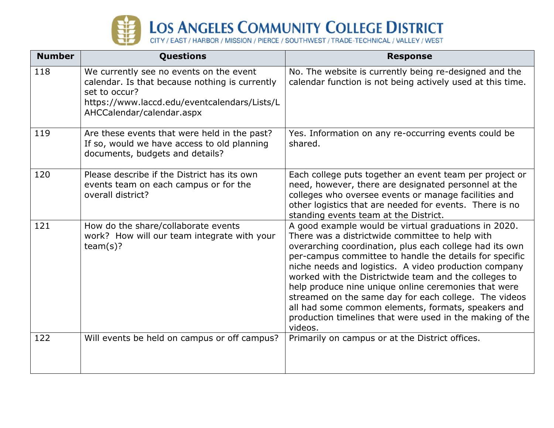

| <b>Number</b> | <b>Questions</b>                                                                                                                                                                        | <b>Response</b>                                                                                                                                                                                                                                                                                                                                                                                                                                                                                                                                                                                |
|---------------|-----------------------------------------------------------------------------------------------------------------------------------------------------------------------------------------|------------------------------------------------------------------------------------------------------------------------------------------------------------------------------------------------------------------------------------------------------------------------------------------------------------------------------------------------------------------------------------------------------------------------------------------------------------------------------------------------------------------------------------------------------------------------------------------------|
| 118           | We currently see no events on the event<br>calendar. Is that because nothing is currently<br>set to occur?<br>https://www.laccd.edu/eventcalendars/Lists/L<br>AHCCalendar/calendar.aspx | No. The website is currently being re-designed and the<br>calendar function is not being actively used at this time.                                                                                                                                                                                                                                                                                                                                                                                                                                                                           |
| 119           | Are these events that were held in the past?<br>If so, would we have access to old planning<br>documents, budgets and details?                                                          | Yes. Information on any re-occurring events could be<br>shared.                                                                                                                                                                                                                                                                                                                                                                                                                                                                                                                                |
| 120           | Please describe if the District has its own<br>events team on each campus or for the<br>overall district?                                                                               | Each college puts together an event team per project or<br>need, however, there are designated personnel at the<br>colleges who oversee events or manage facilities and<br>other logistics that are needed for events. There is no<br>standing events team at the District.                                                                                                                                                                                                                                                                                                                    |
| 121           | How do the share/collaborate events<br>work? How will our team integrate with your<br>team(s)?                                                                                          | A good example would be virtual graduations in 2020.<br>There was a districtwide committee to help with<br>overarching coordination, plus each college had its own<br>per-campus committee to handle the details for specific<br>niche needs and logistics. A video production company<br>worked with the Districtwide team and the colleges to<br>help produce nine unique online ceremonies that were<br>streamed on the same day for each college. The videos<br>all had some common elements, formats, speakers and<br>production timelines that were used in the making of the<br>videos. |
| 122           | Will events be held on campus or off campus?                                                                                                                                            | Primarily on campus or at the District offices.                                                                                                                                                                                                                                                                                                                                                                                                                                                                                                                                                |